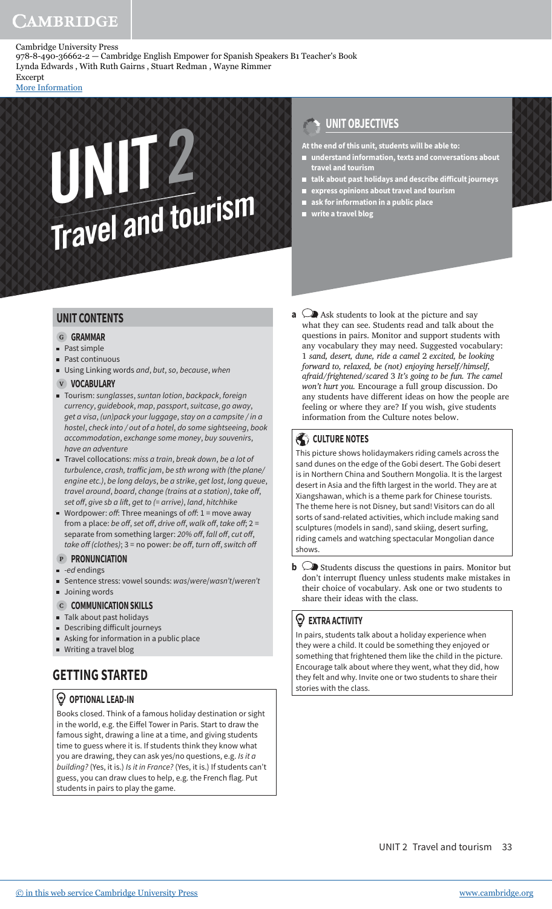[More Information](www.cambridge.org/9788490366622)

# UNIT<sub>Travel</sub> and tourism

## **UNIT OBJECTIVES**

**At the end of this unit, students will be able to:**

- **understand information, texts and conversations about travel and tourism**
- talk about past holidays and describe difficult journeys
- **express opinions about travel and tourism**
- **ask for information in a public place**
- **write a travel blog**

#### **UNIT CONTENTS**

#### **G GRAMMAR**

- **Past simple**
- Past continuous
- Using Linking words and, but, so, because, when

#### **V VOCABULARY**

- Tourism: sunglasses, suntan lotion, backpack, foreign currency, guidebook, map, passport, suitcase, go away, get a visa, (un)pack your luggage, stay on a campsite / in a hostel, check into / out of a hotel, do some sightseeing, book accommodation, exchange some money, buy souvenirs, have an adventure
- $\blacksquare$  Travel collocations: miss a train, break down, be a lot of turbulence, crash, traffic jam, be sth wrong with (the plane/ engine etc.), be long delays, be a strike, get lost, long queue, travel around, board, change (trains at a station), take off, set off, give sb a lift, get to  $(=$  arrive), land, hitchhike
- Wordpower: off: Three meanings of off:  $1 =$  move away from a place: be off, set off, drive off, walk off, take off;  $2 =$ separate from something larger: 20% off, fall off, cut off, take off (clothes);  $3$  = no power: be off, turn off, switch off

#### **P PRONUNCIATION**

- $-e$ d endings
- Sentence stress: vowel sounds: was/were/wasn't/weren't
- **Joining words**

#### **C COMMUNICATION SKILLS**

- Talk about past holidays
- $\blacksquare$  Describing difficult journeys
- Asking for information in a public place
- Writing a travel blog

# **GETTING STARTED**

#### **OPTIONAL LEAD-IN**

Books closed. Think of a famous holiday destination or sight in the world, e.g. the Eiffel Tower in Paris. Start to draw the famous sight, drawing a line at a time, and giving students time to guess where it is. If students think they know what you are drawing, they can ask yes/no questions, e.g. Is it a building? (Yes, it is.) Is it in France? (Yes, it is.) If students can't guess, you can draw clues to help, e.g. the French flag. Put students in pairs to play the game.

**a**  $\bigcirc$  Ask students to look at the picture and say what they can see. Students read and talk about the questions in pairs. Monitor and support students with any vocabulary they may need. Suggested vocabulary: 1 *sand, desert, dune, ride a camel* 2 *excited, be looking forward to, relaxed, be (not) enjoying herself/himself, afraid/frightened/scared* 3 *It's going to be fun. The camel won't hurt you.* Encourage a full group discussion. Do any students have different ideas on how the people are feeling or where they are? If you wish, give students information from the Culture notes below.

#### **CULTURE NOTES**

This picture shows holidaymakers riding camels across the sand dunes on the edge of the Gobi desert. The Gobi desert is in Northern China and Southern Mongolia. It is the largest desert in Asia and the fifth largest in the world. They are at Xiangshawan, which is a theme park for Chinese tourists. The theme here is not Disney, but sand! Visitors can do all sorts of sand-related activities, which include making sand sculptures (models in sand), sand skiing, desert surfing, riding camels and watching spectacular Mongolian dance shows.

**b**  $\bigcirc$  Students discuss the questions in pairs. Monitor but don't interrupt fluency unless students make mistakes in their choice of vocabulary. Ask one or two students to share their ideas with the class.

#### **EXTRA ACTIVITY**

In pairs, students talk about a holiday experience when they were a child. It could be something they enjoyed or something that frightened them like the child in the picture. Encourage talk about where they went, what they did, how they felt and why. Invite one or two students to share their stories with the class.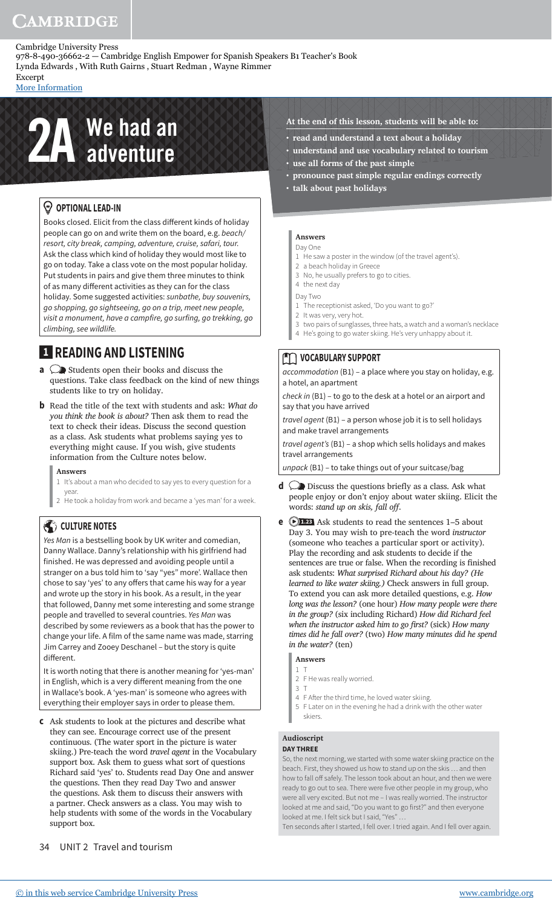978-8-490-36662-2 — Cambridge English Empower for Spanish Speakers B1 Teacher's Book Lynda Edwards , With Ruth Gairns , Stuart Redman , Wayne Rimmer

Excerpt [More Information](www.cambridge.org/9788490366622)

# **2A** We had an

### *<sup>* $\circledcirc$  **OPTIONAL LEAD-IN**</sup>

Books closed. Elicit from the class different kinds of holiday people can go on and write them on the board, e.g. beach/ resort, city break, camping, adventure, cruise, safari, tour. Ask the class which kind of holiday they would most like to go on today. Take a class vote on the most popular holiday. Put students in pairs and give them three minutes to think of as many different activities as they can for the class holiday. Some suggested activities: sunbathe, buy souvenirs, go shopping, go sightseeing, go on a trip, meet new people, visit a monument, have a campfire, go surfing, go trekking, go climbing, see wildlife.

# **1 READING AND LISTENING**

- **a**  $\bigcirc$  Students open their books and discuss the questions. Take class feedback on the kind of new things students like to try on holiday.
- **b** Read the title of the text with students and ask: *What do you think the book is about?* Then ask them to read the text to check their ideas. Discuss the second question as a class. Ask students what problems saying yes to everything might cause. If you wish, give students information from the Culture notes below.

#### **Answers**

- 1 It's about a man who decided to say yes to every question for a year.
- 2 He took a holiday from work and became a 'yes man' for a week.

#### **CULTURE NOTES**

Yes Man is a bestselling book by UK writer and comedian, Danny Wallace. Danny's relationship with his girlfriend had finished. He was depressed and avoiding people until a stranger on a bus told him to 'say "yes" more'. Wallace then chose to say 'yes' to any offers that came his way for a year and wrote up the story in his book. As a result, in the year that followed, Danny met some interesting and some strange people and travelled to several countries. Yes Man was described by some reviewers as a book that has the power to change your life. A film of the same name was made, starring Jim Carrey and Zooey Deschanel – but the story is quite different.

It is worth noting that there is another meaning for 'yes-man' in English, which is a very different meaning from the one in Wallace's book. A 'yes-man' is someone who agrees with everything their employer says in order to please them.

- **c** Ask students to look at the pictures and describe what they can see. Encourage correct use of the present continuous. (The water sport in the picture is water skiing.) Pre-teach the word *travel agent* in the Vocabulary support box. Ask them to guess what sort of questions Richard said 'yes' to. Students read Day One and answer the questions. Then they read Day Two and answer the questions. Ask them to discuss their answers with a partner. Check answers as a class. You may wish to help students with some of the words in the Vocabulary support box.
- 34 UNIT 2 Travel and tourism
- **At the end of this lesson, students will be able to:**
- **read and understand a text about a holiday**
- **understand and use vocabulary related to tourism • use all forms of the past simple**
- **pronounce past simple regular endings correctly**
- **talk about past holidays**

#### **Answers**

#### Day One

- 1 He saw a poster in the window (of the travel agent's).
- 2 a beach holiday in Greece
- 3 No, he usually prefers to go to cities.
- 4 the next day
- Day Two
- 1 The receptionist asked, 'Do you want to go?'
- 2 It was very, very hot.
- 3 two pairs of sunglasses, three hats, a watch and a woman's necklace
- 4 He's going to go water skiing. He's very unhappy about it.

#### **TO VOCABULARY SUPPORT**

accommodation (B1) – a place where you stay on holiday, e.g. a hotel, an apartment

check in (B1) – to go to the desk at a hotel or an airport and say that you have arrived

travel agent (B1) – a person whose job it is to sell holidays and make travel arrangements

travel agent's (B1) – a shop which sells holidays and makes travel arrangements

unpack (B1) – to take things out of your suitcase/bag

- **d**  $\oslash$  Discuss the questions briefly as a class. Ask what people enjoy or don't enjoy about water skiing. Elicit the words: *stand up on skis, fall off.*
- **e 1.23** Ask students to read the sentences 1–5 about Day 3. You may wish to pre-teach the word *instructor* (someone who teaches a particular sport or activity). Play the recording and ask students to decide if the sentences are true or false. When the recording is finished ask students: *What surprised Richard about his day? (He learned to like water skiing.)* Check answers in full group. To extend you can ask more detailed questions, e.g. *How long was the lesson?* (one hour) *How many people were there in the group?* (six including Richard) *How did Richard feel when the instructor asked him to go first?* (sick) *How many times did he fall over?* (two) *How many minutes did he spend in the water?* (ten)
	- **Answers**
	- 1 T 2 F He was really worried.
	- 3 T
	- 4 F After the third time, he loved water skiing.
	- 5 F Later on in the evening he had a drink with the other water skiers.

### **Audioscript**

#### **DAY THREE**

So, the next morning, we started with some water skiing practice on the beach. First, they showed us how to stand up on the skis … and then how to fall off safely. The lesson took about an hour, and then we were ready to go out to sea. There were five other people in my group, who were all very excited. But not me – I was really worried. The instructor looked at me and said, "Do you want to go first?" and then everyone looked at me. I felt sick but I said, "Yes"

Ten seconds after I started, I fell over. I tried again. And I fell over again.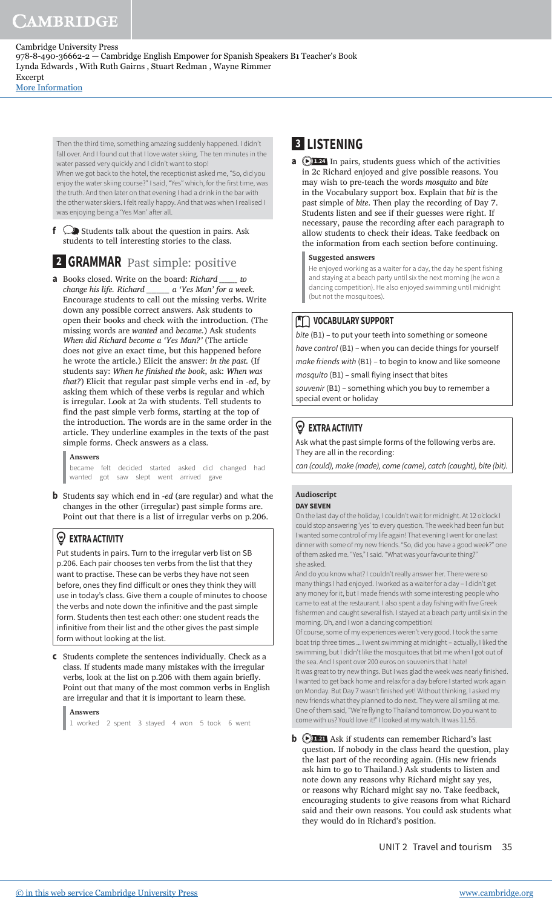[More Information](www.cambridge.org/9788490366622)

Then the third time, something amazing suddenly happened. I didn't fall over. And I found out that I love water skiing. The ten minutes in the water passed very quickly and I didn't want to stop!

When we got back to the hotel, the receptionist asked me, "So, did you enjoy the water skiing course?" I said, "Yes" which, for the first time, was the truth. And then later on that evening I had a drink in the bar with the other water skiers. I felt really happy. And that was when I realised I was enjoying being a 'Yes Man' ater all.

**f**  $\bigcirc$  Students talk about the question in pairs. Ask students to tell interesting stories to the class.

# **2 GRAMMAR** Past simple: positive

**a** Books closed. Write on the board: *Richard \_\_\_\_\_\_\_ to change his life. Richard \_\_\_\_\_\_\_\_\_ a 'Yes Man' for a week.* Encourage students to call out the missing verbs. Write down any possible correct answers. Ask students to open their books and check with the introduction. (The missing words are *wanted* and *became*.) Ask students *When did Richard become a 'Yes Man?'* (The article does not give an exact time, but this happened before he wrote the article.) Elicit the answer: *in the past.* (If students say: *When he inished the book*, ask: *When was that?*) Elicit that regular past simple verbs end in *-ed*, by asking them which of these verbs is regular and which is irregular. Look at 2a with students. Tell students to find the past simple verb forms, starting at the top of the introduction. The words are in the same order in the article. They underline examples in the texts of the past simple forms. Check answers as a class.

#### **Answers**

became felt decided started asked did changed had wanted got saw slept went arrived gave

**b** Students say which end in *-ed* (are regular) and what the changes in the other (irregular) past simple forms are. Point out that there is a list of irregular verbs on p.206.

#### **EXTRA ACTIVITY**

Put students in pairs. Turn to the irregular verb list on SB p.206. Each pair chooses ten verbs from the list that they want to practise. These can be verbs they have not seen before, ones they find dificult or ones they think they will use in today's class. Give them a couple of minutes to choose the verbs and note down the infinitive and the past simple form. Students then test each other: one student reads the infinitive from their list and the other gives the past simple form without looking at the list.

**c** Students complete the sentences individually. Check as a class. If students made many mistakes with the irregular verbs, look at the list on p.206 with them again briefly. Point out that many of the most common verbs in English are irregular and that it is important to learn these.

#### **Answers**

1 worked 2 spent 3 stayed 4 won 5 took 6 went

# **3 LISTENING**

**a D1.24** In pairs, students guess which of the activities in 2c Richard enjoyed and give possible reasons. You may wish to pre-teach the words *mosquito* and *bite* in the Vocabulary support box. Explain that *bit* is the past simple of *bite*. Then play the recording of Day 7. Students listen and see if their guesses were right. If necessary, pause the recording after each paragraph to allow students to check their ideas. Take feedback on the information from each section before continuing.

#### **Suggested answers**

He enjoyed working as a waiter for a day, the day he spent fishing and staying at a beach party until six the next morning (he won a dancing competition). He also enjoyed swimming until midnight (but not the mosquitoes).

#### **M** VOCABULARY SUPPORT

bite (B1) - to put your teeth into something or someone have control (B1) - when you can decide things for yourself make friends with (B1) – to begin to know and like someone

mosquito (B1) – small flying insect that bites

souvenir (B1) - something which you buy to remember a special event or holiday

#### **EXTRA ACTIVITY**

Ask what the past simple forms of the following verbs are. They are all in the recording:

can (could), make (made), come (came), catch (caught), bite (bit).

#### **Audioscript DAY SEVEN**

On the last day of the holiday, I couldn't wait for midnight. At 12 o'clock I could stop answering 'yes' to every question. The week had been fun but I wanted some control of my life again! That evening I went for one last dinner with some of my new friends. "So, did you have a good week?" one of them asked me. "Yes," I said. "What was your favourite thing?" she asked.

And do you know what? I couldn't really answer her. There were so many things I had enjoyed. I worked as a waiter for a day – I didn't get any money for it, but I made friends with some interesting people who came to eat at the restaurant. I also spent a day fishing with five Greek fishermen and caught several fish. I stayed at a beach party until six in the morning. Oh, and I won a dancing competition!

Of course, some of my experiences weren't very good. I took the same boat trip three times ... I went swimming at midnight – actually, I liked the swimming, but I didn't like the mosquitoes that bit me when I got out of the sea. And I spent over 200 euros on souvenirs that I hate! It was great to try new things. But I was glad the week was nearly finished. I wanted to get back home and relax for a day before I started work again on Monday. But Day 7 wasn't finished yet! Without thinking, I asked my

new friends what they planned to do next. They were all smiling at me. One of them said, "We're flying to Thailand tomorrow. Do you want to come with us? You'd love it!" I looked at my watch. It was 11.55.

**b**  $\bigcirc$ 1.21 Ask if students can remember Richard's last question. If nobody in the class heard the question, play the last part of the recording again. (His new friends ask him to go to Thailand.) Ask students to listen and note down any reasons why Richard might say yes, or reasons why Richard might say no. Take feedback, encouraging students to give reasons from what Richard said and their own reasons. You could ask students what they would do in Richard's position.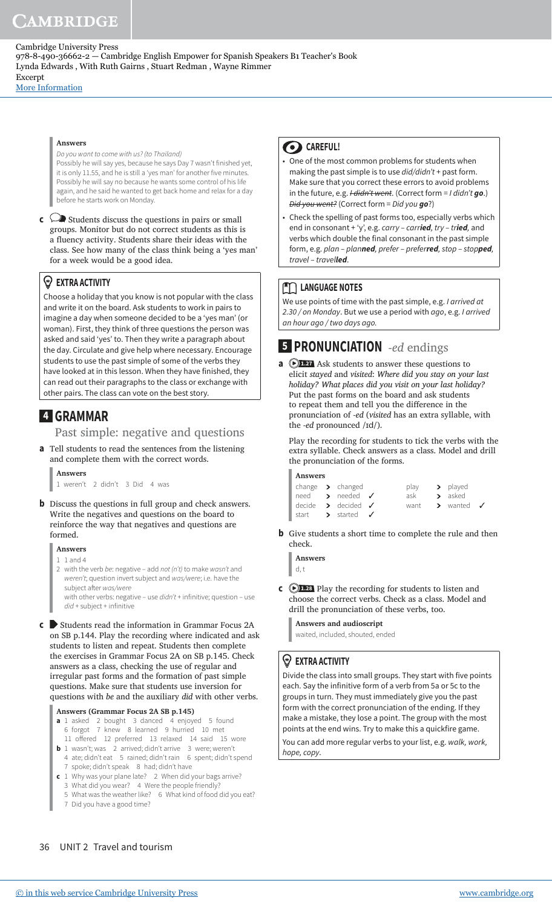[More Information](www.cambridge.org/9788490366622)

#### **Answers**

Do you want to come with us? (to Thailand) Possibly he will say yes, because he says Day 7 wasn't finished yet, it is only 11.55, and he is still a 'yes man' for another five minutes. Possibly he will say no because he wants some control of his life again, and he said he wanted to get back home and relax for a day before he starts work on Monday.

**c**  $\bigcirc$  **Students discuss the questions in pairs or small** groups. Monitor but do not correct students as this is a fluency activity. Students share their ideas with the class. See how many of the class think being a 'yes man' for a week would be a good idea.

#### **EXTRA ACTIVITY**

Choose a holiday that you know is not popular with the class and write it on the board. Ask students to work in pairs to imagine a day when someone decided to be a 'yes man' (or woman). First, they think of three questions the person was asked and said 'yes' to. Then they write a paragraph about the day. Circulate and give help where necessary. Encourage students to use the past simple of some of the verbs they have looked at in this lesson. When they have finished, they can read out their paragraphs to the class or exchange with other pairs. The class can vote on the best story.

# **4 GRAMMAR**

Past simple: negative and questions

**a** Tell students to read the sentences from the listening and complete them with the correct words.

**Answers** 1 weren't 2 didn't 3 Did 4 was

- **b** Discuss the questions in full group and check answers. Write the negatives and questions on the board to reinforce the way that negatives and questions are formed.
	- **Answers**
	- 1 1 and 4 2 with the verb be: negative - add not (n't) to make wasn't and weren't; question invert subject and was/were; i.e. have the subject after was/were with other verbs: negative – use  $d/dn't +$  infinitive; question – use  $did +$  subject + infinitive
- **c** Students read the information in Grammar Focus 2A on SB p.144. Play the recording where indicated and ask students to listen and repeat. Students then complete the exercises in Grammar Focus 2A on SB p.145. Check answers as a class, checking the use of regular and irregular past forms and the formation of past simple questions. Make sure that students use inversion for questions with *be* and the auxiliary *did* with other verbs.

#### **Answers (Grammar Focus 2A SB p.145)**

- **a** 1 asked 2 bought 3 danced 4 enjoyed 5 found 6 forgot 7 knew 8 learned 9 hurried 10 met 11 ofered 12 preferred 13 relaxed 14 said 15 wore
- **b** 1 wasn't; was 2 arrived; didn't arrive 3 were; weren't 4 ate; didn't eat 5 rained; didn't rain 6 spent; didn't spend
- 7 spoke; didn't speak 8 had; didn't have **c** 1 Why was your plane late? 2 When did your bags arrive?
- 3 What did you wear? 4 Were the people friendly? 5 What was the weather like? 6 What kind of food did you eat?
- 7 Did you have a good time?

#### **CAREFUL!**

- One of the most common problems for students when making the past simple is to use  $did/didn't +$  past form. Make sure that you correct these errors to avoid problems in the future, e.g. *I didn't went*. (Correct form = *I didn't go*.) Did you went? (Correct form = Did you **go**?)
- Check the spelling of past forms too, especially verbs which end in consonant + 'y', e.g. carry – carr**ied**, try – tr**ied**, and verbs which double the final consonant in the past simple form, e.g. plan – plan**ned**, prefer – prefer**red**, stop – stop**ped**, travel – travel**led**.

#### **THE LANGUAGE NOTES**

We use points of time with the past simple, e.g. I arrived at 2.30 / on Monday. But we use a period with ago, e.g. I arrived an hour ago / two days ago.

# **5 PRONUNCIATION** *-ed* endings

**a DL27** Ask students to answer these questions to elicit *stayed* and *visited*: *Where did you stay on your last holiday? What places did you visit on your last holiday?*  Put the past forms on the board and ask students to repeat them and tell you the diference in the pronunciation of *-ed* (*visited* has an extra syllable, with the *-ed* pronounced /ɪd/).

 Play the recording for students to tick the verbs with the extra syllable. Check answers as a class. Model and drill the pronunciation of the forms.

**Answers**

|  | change $\rightarrow$ changed               |     | $play \rightarrow played$  |  |
|--|--------------------------------------------|-----|----------------------------|--|
|  | need > needed $\checkmark$                 | ask | > asked                    |  |
|  | decide $\rightarrow$ decided $\rightarrow$ |     | want > wanted $\checkmark$ |  |
|  | start > started $\checkmark$               |     |                            |  |

**b** Give students a short time to complete the rule and then check.

**Answers** d, t

**c 1.28** Play the recording for students to listen and choose the correct verbs. Check as a class. Model and drill the pronunciation of these verbs, too.

**Answers and audioscript** waited, included, shouted, ended

#### **EXTRA ACTIVITY**

Divide the class into small groups. They start with five points each. Say the infinitive form of a verb from 5a or 5c to the groups in turn. They must immediately give you the past form with the correct pronunciation of the ending. If they make a mistake, they lose a point. The group with the most points at the end wins. Try to make this a quickfire game.

You can add more regular verbs to your list, e.g. walk, work, hope, copy.

#### 36 UNIT 2 Travel and tourism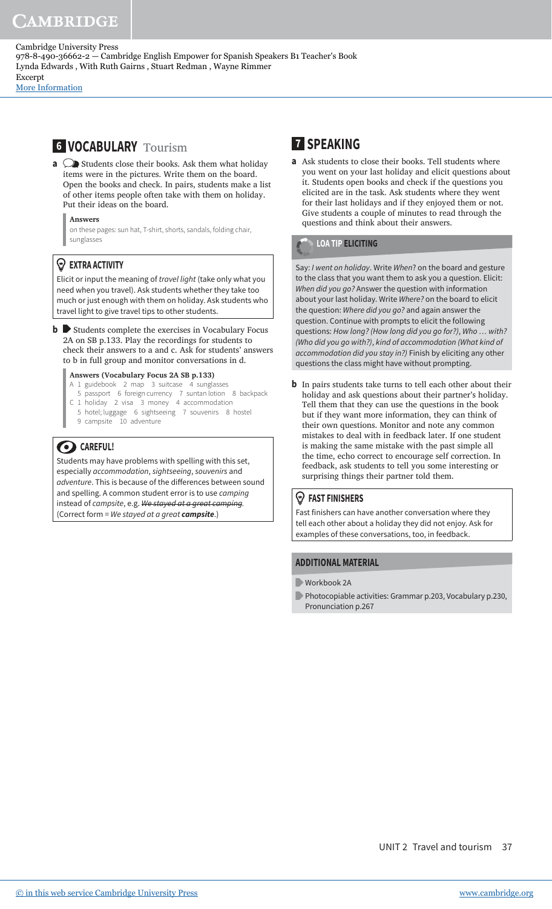[More Information](www.cambridge.org/9788490366622)

# **6 VOCABULARY** Tourism

- **a**  $\bigcirc$  Students close their books. Ask them what holiday items were in the pictures. Write them on the board. Open the books and check. In pairs, students make a list of other items people often take with them on holiday. Put their ideas on the board.
	- **Answers**

on these pages: sun hat, T-shirt, shorts, sandals, folding chair, sunglasses

#### **EXTRA ACTIVITY**

Elicit or input the meaning of travel light (take only what you need when you travel). Ask students whether they take too much or just enough with them on holiday. Ask students who travel light to give travel tips to other students.

**b** Students complete the exercises in Vocabulary Focus 2A on SB p.133. Play the recordings for students to check their answers to a and c. Ask for students' answers to b in full group and monitor conversations in d.

#### **Answers (Vocabulary Focus 2A SB p.133)**

- A 1 guidebook 2 map 3 suitcase 4 sunglasses
- 5 passport 6 foreign currency 7 suntan lotion 8 backpack C 1 holiday 2 visa 3 money 4 accommodation
- 5 hotel; luggage 6 sightseeing 7 souvenirs 8 hostel
- 9 campsite 10 adventure

#### **CAREFUL!**

Students may have problems with spelling with this set, especially accommodation, sightseeing, souvenirs and adventure. This is because of the diferences between sound and spelling. A common student error is to use camping instead of campsite, e.g. We stayed at a great camping. (Correct form = We stayed at a great **campsite**.)

# **7 SPEAKING**

**a** Ask students to close their books. Tell students where you went on your last holiday and elicit questions about it. Students open books and check if the questions you elicited are in the task. Ask students where they went for their last holidays and if they enjoyed them or not. Give students a couple of minutes to read through the questions and think about their answers.

#### **LOA TIP ELICITING**

Say: I went on holiday. Write When? on the board and gesture to the class that you want them to ask you a question. Elicit: When did you go? Answer the question with information about your last holiday. Write Where? on the board to elicit the question: Where did you go? and again answer the question. Continue with prompts to elicit the following questions: How long? (How long did you go for?), Who … with? (Who did you go with?), kind of accommodation (What kind of accommodation did you stay in?) Finish by eliciting any other questions the class might have without prompting.

**b** In pairs students take turns to tell each other about their holiday and ask questions about their partner's holiday. Tell them that they can use the questions in the book but if they want more information, they can think of their own questions. Monitor and note any common mistakes to deal with in feedback later. If one student is making the same mistake with the past simple all the time, echo correct to encourage self correction. In feedback, ask students to tell you some interesting or surprising things their partner told them.

#### **FAST FINISHERS**

Fast finishers can have another conversation where they tell each other about a holiday they did not enjoy. Ask for examples of these conversations, too, in feedback.

#### **ADDITIONAL MATERIAL**

- Workbook 2A
- **Photocopiable activities: Grammar p.203, Vocabulary p.230,** Pronunciation p.267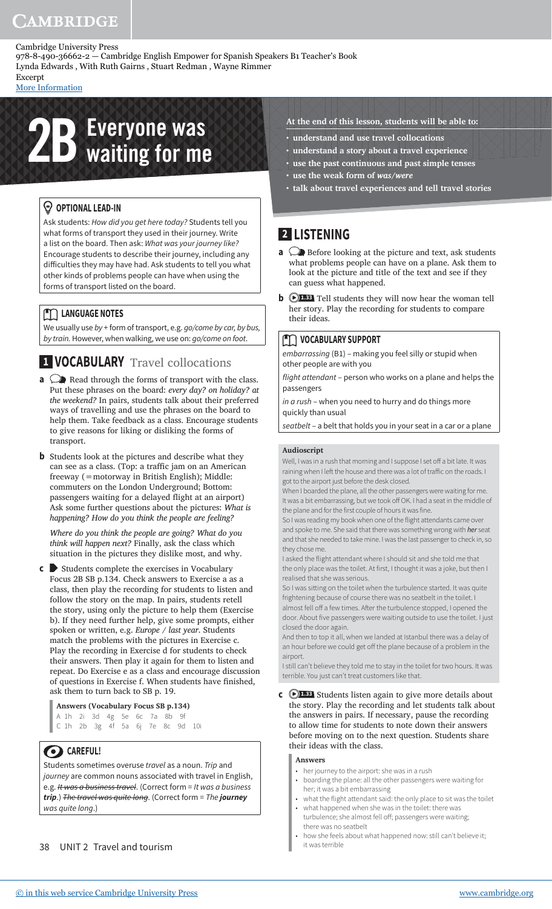978-8-490-36662-2 — Cambridge English Empower for Spanish Speakers B1 Teacher's Book Lynda Edwards , With Ruth Gairns , Stuart Redman , Wayne Rimmer

Excerpt [More Information](www.cambridge.org/9788490366622)

# **2B** Everyone was

#### *<sup>* $\circledcirc$  **OPTIONAL LEAD-IN**</sup>

Ask students: How did you get here today? Students tell you what forms of transport they used in their journey. Write a list on the board. Then ask: What was your journey like? Encourage students to describe their journey, including any difficulties they may have had. Ask students to tell you what other kinds of problems people can have when using the forms of transport listed on the board.

#### **MM** LANGUAGE NOTES

We usually use by + form of transport, e.g. go/come by car, by bus, by train. However, when walking, we use on: go/come on foot.

# **1 VOCABULARY** Travel collocations

- **a**  $\bigcirc$  Read through the forms of transport with the class. Put these phrases on the board: *every day? on holiday? at the weekend?* In pairs, students talk about their preferred ways of travelling and use the phrases on the board to help them. Take feedback as a class. Encourage students to give reasons for liking or disliking the forms of transport.
- **b** Students look at the pictures and describe what they can see as a class. (Top: a traffic jam on an American freeway (=motorway in British English); Middle: commuters on the London Underground; Bottom: passengers waiting for a delayed flight at an airport) Ask some further questions about the pictures: *What is happening? How do you think the people are feeling?*

 *Where do you think the people are going? What do you think will happen next?* Finally, ask the class which situation in the pictures they dislike most, and why.

**c** Students complete the exercises in Vocabulary Focus 2B SB p.134. Check answers to Exercise a as a class, then play the recording for students to listen and follow the story on the map. In pairs, students retell the story, using only the picture to help them (Exercise b). If they need further help, give some prompts, either spoken or written, e.g. *Europe / last year*. Students match the problems with the pictures in Exercise c. Play the recording in Exercise d for students to check their answers. Then play it again for them to listen and repeat. Do Exercise e as a class and encourage discussion of questions in Exercise f. When students have finished, ask them to turn back to SB p. 19.

#### **Answers (Vocabulary Focus SB p.134)**

A 1h 2i 3d 4g 5e 6c 7a 8b 9f C 1h 2b 3g 4f 5a 6j 7e 8c 9d 10i

# **CAREFUL!**

Students sometimes overuse travel as a noun. Trip and journey are common nouns associated with travel in English, e.g. It was a business travel. (Correct form = It was a business **trip**.) The travel was quite long. (Correct form = The **journey** was quite long.)

38 UNIT 2 Travel and tourism

- **At the end of this lesson, students will be able to:**
- **understand and use travel collocations**
- **understand a story about a travel experience • use the past continuous and past simple tenses**
- **use the weak form of** *was/were*
- **talk about travel experiences and tell travel stories**

# **2 LISTENING**

- **a**  $\bigcirc$  Before looking at the picture and text, ask students what problems people can have on a plane. Ask them to look at the picture and title of the text and see if they can guess what happened.
- **b 1.33** Tell students they will now hear the woman tell her story. Play the recording for students to compare their ideas.

#### **MOCABULARY SUPPORT**

embarrassing (B1) – making you feel silly or stupid when other people are with you

flight attendant – person who works on a plane and helps the passengers

in a rush - when you need to hurry and do things more quickly than usual

seatbelt – a belt that holds you in your seat in a car or a plane

#### **Audioscript**

Well, I was in a rush that morning and I suppose I set off a bit late. It was raining when I left the house and there was a lot of traffic on the roads. I got to the airport just before the desk closed.

When I boarded the plane, all the other passengers were waiting for me. It was a bit embarrassing, but we took off OK. I had a seat in the middle of the plane and for the first couple of hours it was fine.

So I was reading my book when one of the flight attendants came over and spoke to me. She said that there was something wrong with *her* seat and that she needed to take mine. I was the last passenger to check in, so they chose me.

I asked the flight attendant where I should sit and she told me that the only place was the toilet. At first, I thought it was a joke, but then I realised that she was serious.

So I was sitting on the toilet when the turbulence started. It was quite frightening because of course there was no seatbelt in the toilet. I almost fell off a few times. After the turbulence stopped, I opened the door. About five passengers were waiting outside to use the toilet. I just closed the door again.

And then to top it all, when we landed at Istanbul there was a delay of an hour before we could get off the plane because of a problem in the airport.

I still can't believe they told me to stay in the toilet for two hours. It was terrible. You just can't treat customers like that.

**c 1.33** Students listen again to give more details about the story. Play the recording and let students talk about the answers in pairs. If necessary, pause the recording to allow time for students to note down their answers before moving on to the next question. Students share their ideas with the class.

#### **Answers**

- her journey to the airport: she was in a rush
- boarding the plane: all the other passengers were waiting for her; it was a bit embarrassing
- what the flight attendant said: the only place to sit was the toilet • what happened when she was in the toilet: there was
- turbulence; she almost fell off; passengers were waiting there was no seatbelt • how she feels about what happened now: still can't believe it;
- it was terrible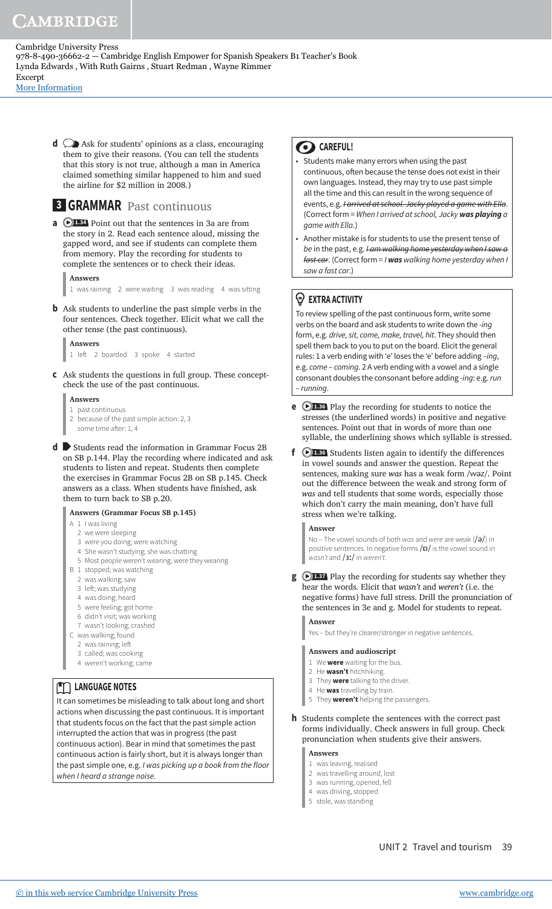[More Information](www.cambridge.org/9788490366622)

**d**  $\bigcirc$  Ask for students' opinions as a class, encouraging them to give their reasons. (You can tell the students that this story is not true, although a man in America claimed something similar happened to him and sued the airline for \$2 million in 2008.)

# **3 GRAMMAR** Past continuous

**a D1.34** Point out that the sentences in 3a are from the story in 2. Read each sentence aloud, missing the gapped word, and see if students can complete them from memory. Play the recording for students to complete the sentences or to check their ideas.

#### **Answers**

1 was raining 2 were waiting 3 was reading 4 was sitting

- **b** Ask students to underline the past simple verbs in the four sentences. Check together. Elicit what we call the other tense (the past continuous).
	- **Answers** 1 let 2 boarded 3 spoke 4 started
- **c** Ask students the questions in full group. These conceptcheck the use of the past continuous.
	- **Answers** 1 past continuous 2 because of the past simple action: 2, 3 some time after: 1, 4
- **d** Students read the information in Grammar Focus 2B on SB p.144. Play the recording where indicated and ask students to listen and repeat. Students then complete the exercises in Grammar Focus 2B on SB p.145. Check answers as a class. When students have finished, ask them to turn back to SB p.20.

#### **Answers (Grammar Focus SB p.145)**

- A 1 I was living
	- 2 we were sleeping
	- 3 were you doing; were watching
	- 4 She wasn't studying; she was chatting
	- 5 Most people weren't wearing; were they wearing
- B 1 stopped; was watching
	- 2 was walking; saw
	- 3 left: was studving
	- 4 was doing; heard
	- 5 were feeling; got home
	- 6 didn't visit; was working
	- 7 wasn't looking; crashed
- C was walking; found
	- 2 was raining; left
	- 3 called; was cooking
	- 4 weren't working; came

#### **LANGUAGE NOTES**

It can sometimes be misleading to talk about long and short actions when discussing the past continuous. It is important that students focus on the fact that the past simple action interrupted the action that was in progress (the past continuous action). Bear in mind that sometimes the past continuous action is fairly short, but it is always longer than the past simple one, e.g. I was picking up a book from the floor when I heard a strange noise.

#### **8** CAREFUL!

- Students make many errors when using the past continuous, often because the tense does not exist in their own languages. Instead, they may try to use past simple all the time and this can result in the wrong sequence of events, e.g. Harrived at school. Jacky played a game with Ella. (Correct form = When I arrived at school, Jacky **was playing** a game with Ella.)
- Another mistake is for students to use the present tense of be in the past, e.g. I am walking home yesterday when I saw a fast car. (Correct form = I **was** walking home yesterday when I saw a fast car.)

#### **EXTRA ACTIVITY**

To review spelling of the past continuous form, write some verbs on the board and ask students to write down the -ing form, e.g. drive, sit, come, make, travel, hit. They should then spell them back to you to put on the board. Elicit the general rules: 1 a verb ending with 'e' loses the 'e' before adding -ing, e.g. come – coming. 2 A verb ending with a vowel and a single consonant doubles the consonant before adding -ing: e.g. run – running.

- **e 1.36** Play the recording for students to notice the stresses (the underlined words) in positive and negative sentences. Point out that in words of more than one syllable, the underlining shows which syllable is stressed.
- **f**  $\bigcirc$  **1.36** Students listen again to identify the differences in vowel sounds and answer the question. Repeat the sentences, making sure *was* has a weak form /wəz/. Point out the diference between the weak and strong form of *was* and tell students that some words, especially those which don't carry the main meaning, don't have full stress when we're talking.

#### **Answer**

No – The vowel sounds of both was and were are weak  $(\neq)$  in positive sentences. In negative forms /p/ is the vowel sound in wasn't and /3ː/ in weren't.

**g**  $\bigcirc$  **1.37** Play the recording for students say whether they hear the words. Elicit that *wasn't* and *weren't* (i.e. the negative forms) have full stress. Drill the pronunciation of the sentences in 3e and g. Model for students to repeat.

#### **Answer**

Yes – but they're clearer/stronger in negative sentences.

#### **Answers and audioscript**

- 1 We **were** waiting for the bus.
- 2 He **wasn't** hitchhiking.
- 3 They **were** talking to the driver.
- 4 He **was** travelling by train.
- 5 They **weren't** helping the passengers.
- **h** Students complete the sentences with the correct past forms individually. Check answers in full group. Check pronunciation when students give their answers.

#### **Answers**

- 1 was leaving, realised
- 2 was travelling around, lost
- 3 was running, opened, fell
- 4 was driving, stopped
- 5 stole, was standing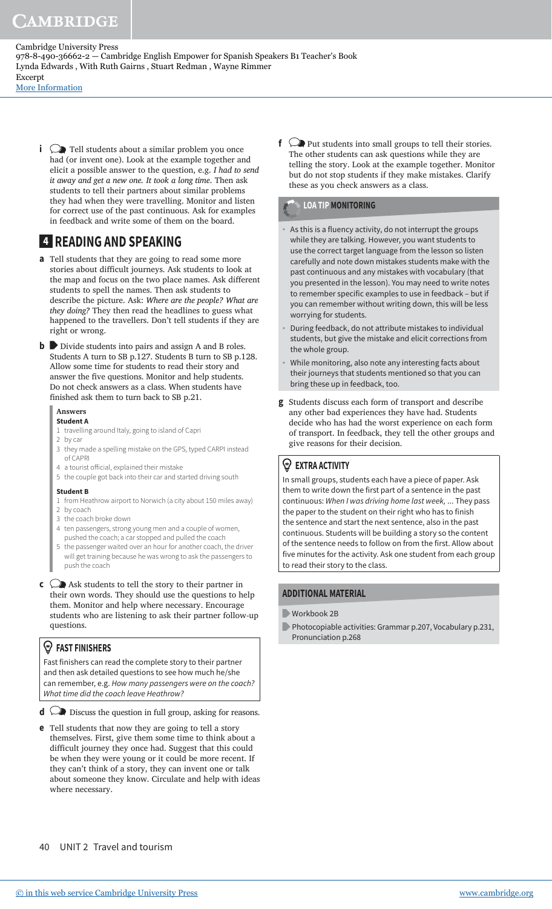# CAMBRIDGE

Cambridge University Press 978-8-490-36662-2 — Cambridge English Empower for Spanish Speakers B1 Teacher's Book Lynda Edwards , With Ruth Gairns , Stuart Redman , Wayne Rimmer Excerpt

[More Information](www.cambridge.org/9788490366622)

**i**  $\bigcirc$  Tell students about a similar problem you once had (or invent one). Look at the example together and elicit a possible answer to the question, e.g. *I had to send it away and get a new one. It took a long time*. Then ask students to tell their partners about similar problems they had when they were travelling. Monitor and listen for correct use of the past continuous. Ask for examples in feedback and write some of them on the board.

# **4 READING AND SPEAKING**

- **a** Tell students that they are going to read some more stories about difficult journeys. Ask students to look at the map and focus on the two place names. Ask diferent students to spell the names. Then ask students to describe the picture. Ask: *Where are the people? What are they doing?* They then read the headlines to guess what happened to the travellers. Don't tell students if they are right or wrong.
- **b** Divide students into pairs and assign A and B roles. Students A turn to SB p.127. Students B turn to SB p.128. Allow some time for students to read their story and answer the five questions. Monitor and help students. Do not check answers as a class. When students have finished ask them to turn back to SB p.21.

#### **Answers**

- **Student A**
- 1 travelling around Italy, going to island of Capri
- 2 by car
- 3 they made a spelling mistake on the GPS, typed CARPI instead of CAPRI
- 4 a tourist oficial, explained their mistake
- 5 the couple got back into their car and started driving south

#### **Student B**

- 1 from Heathrow airport to Norwich (a city about 150 miles away) 2 by coach
- 3 the coach broke down
- 4 ten passengers, strong young men and a couple of women, pushed the coach; a car stopped and pulled the coach
- 5 the passenger waited over an hour for another coach, the driver will get training because he was wrong to ask the passengers to push the coach
- **c**  $\bigcirc$  Ask students to tell the story to their partner in their own words. They should use the questions to help them. Monitor and help where necessary. Encourage students who are listening to ask their partner follow-up questions.

#### **FAST FINISHERS**

Fast finishers can read the complete story to their partner and then ask detailed questions to see how much he/she can remember, e.g. How many passengers were on the coach? What time did the coach leave Heathrow?

- **d**  $\bigcirc$  Discuss the question in full group, asking for reasons.
- **e** Tell students that now they are going to tell a story themselves. First, give them some time to think about a difficult journey they once had. Suggest that this could be when they were young or it could be more recent. If they can't think of a story, they can invent one or talk about someone they know. Circulate and help with ideas where necessary.

**f**  $\bigcirc$  Put students into small groups to tell their stories. The other students can ask questions while they are telling the story. Look at the example together. Monitor but do not stop students if they make mistakes. Clarify these as you check answers as a class.

#### **LOA TIP MONITORING**

- As this is a fluency activity, do not interrupt the groups while they are talking. However, you want students to use the correct target language from the lesson so listen carefully and note down mistakes students make with the past continuous and any mistakes with vocabulary (that you presented in the lesson). You may need to write notes to remember specific examples to use in feedback – but if you can remember without writing down, this will be less worrying for students.
- During feedback, do not attribute mistakes to individual students, but give the mistake and elicit corrections from the whole group.
- While monitoring, also note any interesting facts about their journeys that students mentioned so that you can bring these up in feedback, too.
- **g** Students discuss each form of transport and describe any other bad experiences they have had. Students decide who has had the worst experience on each form of transport. In feedback, they tell the other groups and give reasons for their decision.

#### **EXTRA ACTIVITY**

In small groups, students each have a piece of paper. Ask them to write down the first part of a sentence in the past continuous: When I was driving home last week, ... They pass the paper to the student on their right who has to finish the sentence and start the next sentence, also in the past continuous. Students will be building a story so the content of the sentence needs to follow on from the first. Allow about five minutes for the activity. Ask one student from each group to read their story to the class.

#### **ADDITIONAL MATERIAL**

- Workbook 2B
- Photocopiable activities: Grammar p.207, Vocabulary p.231, Pronunciation p.268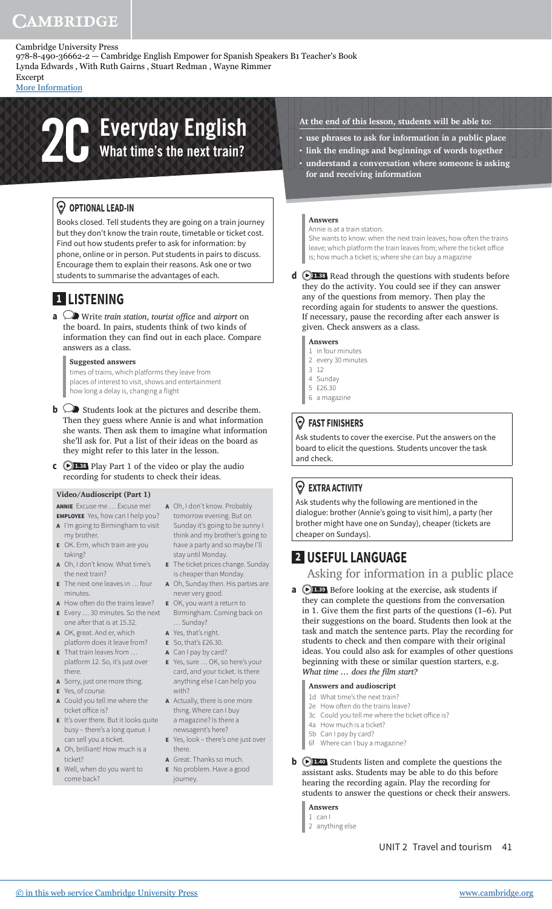978-8-490-36662-2 — Cambridge English Empower for Spanish Speakers B1 Teacher's Book Lynda Edwards , With Ruth Gairns , Stuart Redman , Wayne Rimmer

Excerpt [More Information](www.cambridge.org/9788490366622)

# **2C** Everyday English<br>
What time's the next train?

#### *<sup>* $\circledcirc$  **OPTIONAL LEAD-IN**</sup>

Books closed. Tell students they are going on a train journey but they don't know the train route, timetable or ticket cost. Find out how students prefer to ask for information: by phone, online or in person. Put students in pairs to discuss. Encourage them to explain their reasons. Ask one or two students to summarise the advantages of each.

# **1 LISTENING**

**a**  $\oslash$  Write *train station*, *tourist office* and *airport* on the board. In pairs, students think of two kinds of information they can find out in each place. Compare answers as a class.

#### **Suggested answers**

times of trains, which platforms they leave from places of interest to visit, shows and entertainment how long a delay is, changing a flight

- **b**  $\bigcirc$  Students look at the pictures and describe them. Then they guess where Annie is and what information she wants. Then ask them to imagine what information she'll ask for. Put a list of their ideas on the board as they might refer to this later in the lesson.
- **c 1.38** Play Part 1 of the video or play the audio recording for students to check their ideas.

#### **Video/Audioscript (Part 1)**

**ANNIE** Excuse me … Excuse me! **EMPLOYEE** Yes, how can I help you?

- **A** I'm going to Birmingham to visit my brother.
- **E** OK. Erm, which train are you taking?
- **A** Oh, I don't know. What time's the next train?
- **E** The next one leaves in … four minutes.
- **A** How often do the trains leave? **E** OK, you want a return to **E** Every … 30 minutes. So the next Birmingham. Coming back on
- one after that is at 15.32. **A** OK, great. And er, which
- platform does it leave from? **E** That train leaves from … platform 12. So, it's just over
- there. **A** Sorry, just one more thing.
- **E** Yes, of course.
- **A** Could you tell me where the ticket office is?
- **E** It's over there. But it looks quite busy – there's a long queue. I can sell you a ticket.
- **A** Oh, brilliant! How much is a ticket?
- **E** Well, when do you want to come back?
- **A** Oh, I don't know. Probably tomorrow evening. But on Sunday it's going to be sunny I think and my brother's going to have a party and so maybe I'll stay until Monday.
- **E** The ticket prices change. Sunday is cheaper than Monday.
- **A** Oh, Sunday then. His parties are never very good.
	-
- … Sunday?
- **A** Yes, that's right.
- **E** So, that's £26.30. **A** Can I pay by card?
- **E** Yes, sure … OK, so here's your card, and your ticket. Is there anything else I can help you with?
- **A** Actually, there is one more thing. Where can I buy a magazine? Is there a newsagent's here?
- **E** Yes, look there's one just over there.
- **A** Great. Thanks so much. **E** No problem. Have a good journey.
- **At the end of this lesson, students will be able to:**
- **use phrases to ask for information in a public place • link the endings and beginnings of words together**
- **understand a conversation where someone is asking for and receiving information**

#### **Answers**

Annie is at a train station.

She wants to know: when the next train leaves; how often the trains leave; which platform the train leaves from; where the ticket office is; how much a ticket is; where she can buy a magazine

**d 1.38** Read through the questions with students before they do the activity. You could see if they can answer any of the questions from memory. Then play the recording again for students to answer the questions. If necessary, pause the recording after each answer is given. Check answers as a class.

#### **Answers**

- 1 in four minutes
- 2 every 30 minutes 3 12
- 4 Sunday
- 5 £26.30
- 6 a magazine

#### **FAST FINISHERS**

Ask students to cover the exercise. Put the answers on the board to elicit the questions. Students uncover the task and check.

#### **EXTRA ACTIVITY**

Ask students why the following are mentioned in the dialogue: brother (Annie's going to visit him), a party (her brother might have one on Sunday), cheaper (tickets are cheaper on Sundays).

# **2 USEFUL LANGUAGE**

Asking for information in a public place

**a 1.39** Before looking at the exercise, ask students if they can complete the questions from the conversation in 1. Give them the first parts of the questions  $(1-6)$ . Put their suggestions on the board. Students then look at the task and match the sentence parts. Play the recording for students to check and then compare with their original ideas. You could also ask for examples of other questions beginning with these or similar question starters, e.g. *What time ... does the film start?* 

#### **Answers and audioscript**

- 1d What time's the next train?
- 2e How often do the trains leave?
- 3c Could you tell me where the ticket office is? 4a How much is a ticket?
- 5b Can I pay by card?
- 6f Where can I buy a magazine?
- **b 1.40** Students listen and complete the questions the assistant asks. Students may be able to do this before hearing the recording again. Play the recording for students to answer the questions or check their answers.

#### **Answers** 1 can I

2 anything else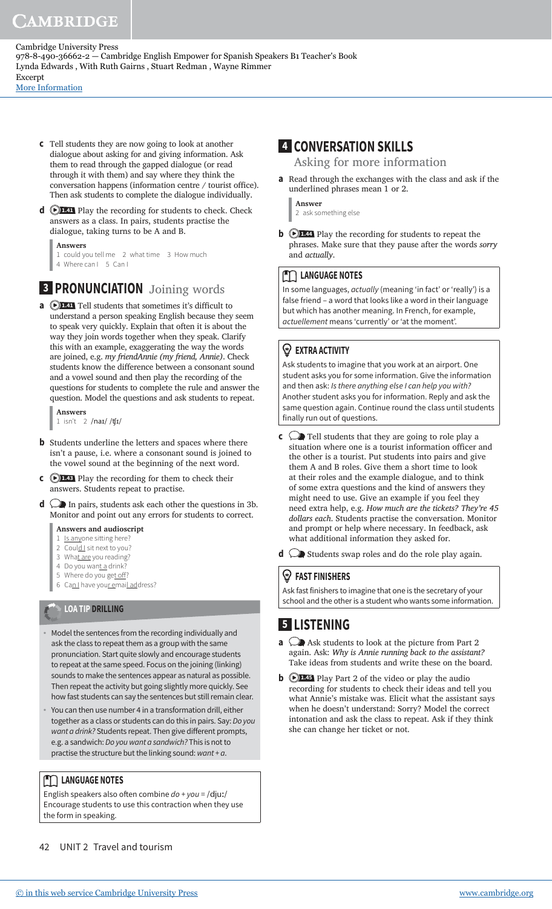[More Information](www.cambridge.org/9788490366622)

- **c** Tell students they are now going to look at another dialogue about asking for and giving information. Ask them to read through the gapped dialogue (or read through it with them) and say where they think the conversation happens (information centre / tourist office). Then ask students to complete the dialogue individually.
- **d**  $\bigcirc$  **1.41** Play the recording for students to check. Check answers as a class. In pairs, students practise the dialogue, taking turns to be A and B.

**Answers** 1 could you tell me 2 what time 3 How much 4 Where can I 5 Can I

# **3 PRONUNCIATION** Joining words

**a D1.41** Tell students that sometimes it's difficult to understand a person speaking English because they seem to speak very quickly. Explain that often it is about the way they join words together when they speak. Clarify this with an example, exaggerating the way the words are joined, e.g. *my friendAnnie (my friend, Annie)*. Check students know the diference between a consonant sound and a vowel sound and then play the recording of the questions for students to complete the rule and answer the question. Model the questions and ask students to repeat.

**Answers** 1 isn't 2 /naɪ/ /ʧɪ/

- **b** Students underline the letters and spaces where there isn't a pause, i.e. where a consonant sound is joined to the vowel sound at the beginning of the next word.
- **c 1.43** Play the recording for them to check their answers. Students repeat to practise.
- **d**  $\oslash$  In pairs, students ask each other the questions in 3b. Monitor and point out any errors for students to correct.

#### **Answers and audioscript**

- 1 Is anyone sitting here
- 2 Could I sit next to you?
- 3 What are you reading?
- 4 Do you want a drink?
- 5 Where do you get off? 6 Can I have your email address?

# **LOA TIP DRILLING**

- Model the sentences from the recording individually and ask the class to repeat them as a group with the same pronunciation. Start quite slowly and encourage students to repeat at the same speed. Focus on the joining (linking) sounds to make the sentences appear as natural as possible. Then repeat the activity but going slightly more quickly. See how fast students can say the sentences but still remain clear.
- You can then use number 4 in a transformation drill, either together as a class or students can do this in pairs. Say: Do you want a drink? Students repeat. Then give different prompts, e.g. a sandwich: Do you want a sandwich? This is not to practise the structure but the linking sound:  $want + a$ .

#### **TELES** LANGUAGE NOTES

English speakers also often combine  $d\rho + \gamma \rho u = / \text{div} / \rho$ Encourage students to use this contraction when they use the form in speaking.

# **4 CONVERSATION SKILLS**

Asking for more information

**a** Read through the exchanges with the class and ask if the underlined phrases mean 1 or 2.

**Answer** 2 ask something else

**b 1.44** Play the recording for students to repeat the phrases. Make sure that they pause after the words *sorry* and *actually*.

#### **MM** LANGUAGE NOTES

In some languages, actually (meaning 'in fact' or 'really') is a false friend – a word that looks like a word in their language but which has another meaning. In French, for example, actuellement means 'currently' or 'at the moment'.

### **EXTRA ACTIVITY**

Ask students to imagine that you work at an airport. One student asks you for some information. Give the information and then ask: Is there anything else I can help you with? Another student asks you for information. Reply and ask the same question again. Continue round the class until students finally run out of questions.

- **c**  $\bigcirc$  Tell students that they are going to role play a situation where one is a tourist information officer and the other is a tourist. Put students into pairs and give them A and B roles. Give them a short time to look at their roles and the example dialogue, and to think of some extra questions and the kind of answers they might need to use. Give an example if you feel they need extra help, e.g. *How much are the tickets? They're 45 dollars each*. Students practise the conversation. Monitor and prompt or help where necessary. In feedback, ask what additional information they asked for.
- **d**  $\oslash$  Students swap roles and do the role play again.

### **FAST FINISHERS**

Ask fast finishers to imagine that one is the secretary of your school and the other is a student who wants some information.

# **5 LISTENING**

- **a**  $\bigcirc$  Ask students to look at the picture from Part 2 again. Ask: *Why is Annie running back to the assistant?* Take ideas from students and write these on the board.
- **b**  $\bigcirc$  **1.45** Play Part 2 of the video or play the audio recording for students to check their ideas and tell you what Annie's mistake was. Elicit what the assistant says when he doesn't understand: Sorry? Model the correct intonation and ask the class to repeat. Ask if they think she can change her ticket or not.

42 UNIT 2 Travel and tourism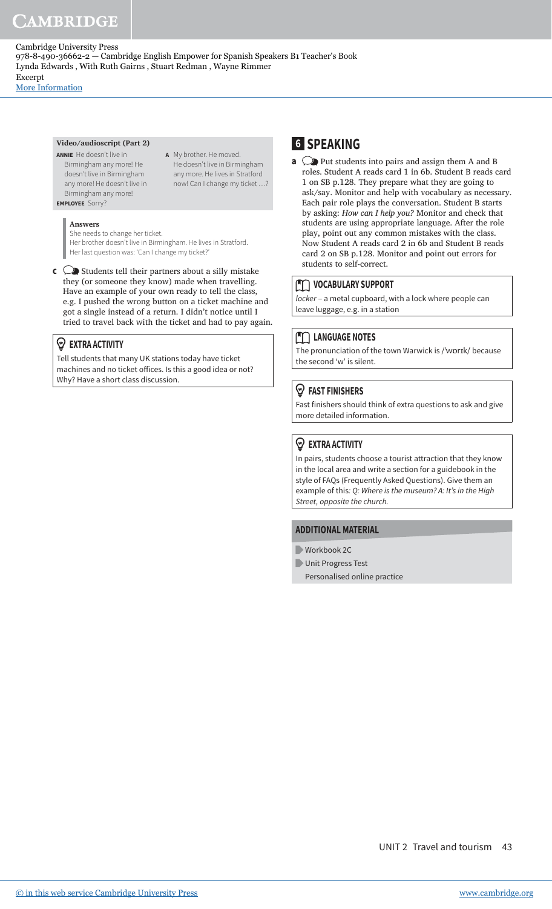**A** My brother. He moved. He doesn't live in Birmingham any more. He lives in Stratford now! Can I change my ticket …?

[More Information](www.cambridge.org/9788490366622)

#### **Video/audioscript (Part 2)**

**ANNIE** He doesn't live in Birmingham any more! He doesn't live in Birmingham any more! He doesn't live in Birmingham any more! **EMPLOYEE** Sorry?

#### **Answers**

She needs to change her ticket. Her brother doesn't live in Birmingham. He lives in Stratford.

Her last question was: 'Can I change my ticket?'

**c**  $\bigcirc$  Students tell their partners about a silly mistake they (or someone they know) made when travelling. Have an example of your own ready to tell the class, e.g. I pushed the wrong button on a ticket machine and got a single instead of a return. I didn't notice until I tried to travel back with the ticket and had to pay again.

#### **EXTRA ACTIVITY**

Tell students that many UK stations today have ticket machines and no ticket ofices. Is this a good idea or not? Why? Have a short class discussion.

# **6 SPEAKING**

**a**  $\bigcirc$  Put students into pairs and assign them A and B roles. Student A reads card 1 in 6b. Student B reads card 1 on SB p.128. They prepare what they are going to ask/say. Monitor and help with vocabulary as necessary. Each pair role plays the conversation. Student B starts by asking: *How can I help you?* Monitor and check that students are using appropriate language. After the role play, point out any common mistakes with the class. Now Student A reads card 2 in 6b and Student B reads card 2 on SB p.128. Monitor and point out errors for students to self-correct.

#### **TO VOCABULARY SUPPORT**

locker - a metal cupboard, with a lock where people can leave luggage, e.g. in a station

#### **TELES** LANGUAGE NOTES

The pronunciation of the town Warwick is /ˈwɒrɪk/ because the second 'w' is silent.

#### **FAST FINISHERS**

Fast finishers should think of extra questions to ask and give more detailed information.

#### **EXTRA ACTIVITY**

In pairs, students choose a tourist attraction that they know in the local area and write a section for a guidebook in the style of FAQs (Frequently Asked Questions). Give them an example of this: Q: Where is the museum? A: It's in the High Street, opposite the church.

#### **ADDITIONAL MATERIAL**

- Workbook 2C
- Unit Progress Test
	- Personalised online practice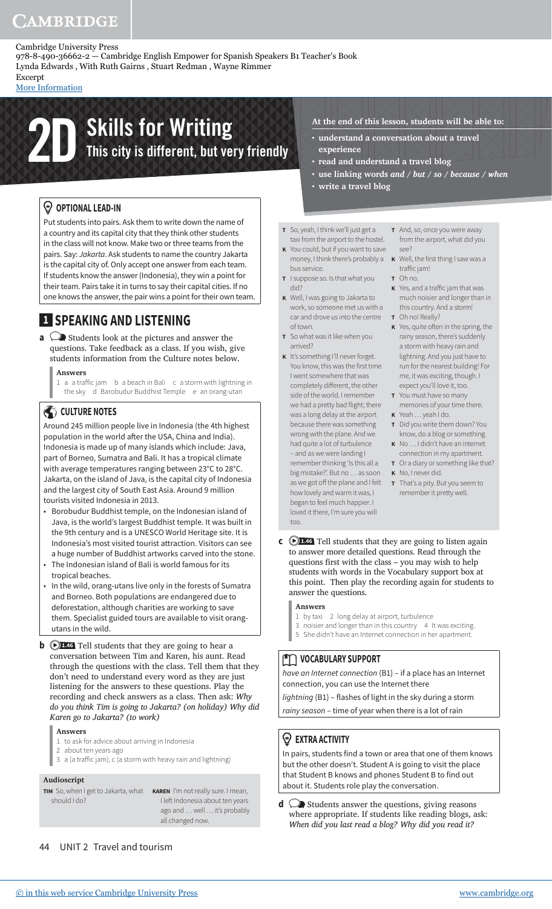978-8-490-36662-2 — Cambridge English Empower for Spanish Speakers B1 Teacher's Book Lynda Edwards , With Ruth Gairns , Stuart Redman , Wayne Rimmer

Excerpt [More Information](www.cambridge.org/9788490366622)

# **2D** Skills for Writing<br>This city is different, but very friendly

#### *<sup>* $\circledcirc$  **OPTIONAL LEAD-IN**</sup>

Put students into pairs. Ask them to write down the name of a country and its capital city that they think other students in the class will not know. Make two or three teams from the pairs. Say: Jakarta. Ask students to name the country Jakarta is the capital city of. Only accept one answer from each team. If students know the answer (Indonesia), they win a point for their team. Pairs take it in turns to say their capital cities. If no one knows the answer, the pair wins a point for their own team.

# **1 SPEAKING AND LISTENING**

**a**  $\bigcirc$  Students look at the pictures and answer the questions. Take feedback as a class. If you wish, give students information from the Culture notes below.

#### **Answers**

1 a a traffic jam b a beach in Bali c a storm with lightning in the sky d Barobudur Buddhist Temple e an orang-utan

#### CULTURE NOTES

Around 245 million people live in Indonesia (the 4th highest population in the world after the USA, China and India). Indonesia is made up of many islands which include: Java, part of Borneo, Sumatra and Bali. It has a tropical climate with average temperatures ranging between 23°C to 28°C. Jakarta, on the island of Java, is the capital city of Indonesia and the largest city of South East Asia. Around 9 million tourists visited Indonesia in 2013.

- Borobudur Buddhist temple, on the Indonesian island of Java, is the world's largest Buddhist temple. It was built in the 9th century and is a UNESCO World Heritage site. It is Indonesia's most visited tourist attraction. Visitors can see a huge number of Buddhist artworks carved into the stone.
- The Indonesian island of Bali is world famous for its tropical beaches.
- In the wild, orang-utans live only in the forests of Sumatra and Borneo. Both populations are endangered due to deforestation, although charities are working to save them. Specialist guided tours are available to visit orangutans in the wild.
- **b**  $\bigcirc$  1.46 Tell students that they are going to hear a conversation between Tim and Karen, his aunt. Read through the questions with the class. Tell them that they don't need to understand every word as they are just listening for the answers to these questions. Play the recording and check answers as a class. Then ask: *Why do you think Tim is going to Jakarta? (on holiday) Why did Karen go to Jakarta? (to work)*

#### **Answers**

- 1 to ask for advice about arriving in Indonesia
- 2 about ten years ago
- 3 a (a traffic jam), c (a storm with heavy rain and lightning)

#### **Audioscript**

should I do?

**TIM** So, when I get to Jakarta, what **KAREN** I'm not really sure. I mean, I let Indonesia about ten years ago and … well … it's probably all changed now.

#### 44 UNIT 2 Travel and tourism

- **At the end of this lesson, students will be able to:**
- **understand a conversation about a travel experience**
- **read and understand a travel blog**
- **use linking words** *and* **/** *but* **/** *so* **/** *because* **/** *when*
- **write a travel blog**
- **T** So, yeah, I think we'll just get a taxi from the airport to the hostel.
- **K** You could, but if you want to save money, I think there's probably a **K** Well, the first thing I saw was a bus service.
- **T** I suppose so. Is that what you did?
- **K** Well, I was going to Jakarta to work, so someone met us with a car and drove us into the centre **T** Oh no! Really? of town.
- **T** So what was it like when you arrived?
- **K** It's something I'll never forget. You know, this was the first time I went somewhere that was completely different, the other side of the world. I remember we had a pretty bad flight; there was a long delay at the airport because there was something wrong with the plane. And we had quite a lot of turbulence

– and as we were landing I remember thinking 'Is this all a big mistake?'. But no … as soon as we got off the plane and I felt how lovely and warm it was, I began to feel much happier. I loved it there, I'm sure you will too.

- **T** And, so, once you were away from the airport, what did you see?
- traffic jam!
- **T** Oh no.
- **K** Yes, and a traffic jam that was much noisier and longer than in this country. And a storm!
- **K** Yes, quite often in the spring, the rainy season, there's suddenly a storm with heavy rain and lightning. And you just have to run for the nearest building! For me, it was exciting, though. I expect you'll love it, too.
- **T** You must have so many memories of your time there.
- **K** Yeah … yeah I do.
- **T** Did you write them down? You know, do a blog or something.
- **K** No … I didn't have an internet connection in my apartment.
- **T** Or a diary or something like that? **K** No, I never did.
- **T** That's a pity. But you seem to remember it pretty well.
- **c 1.46** Tell students that they are going to listen again to answer more detailed questions. Read through the questions first with the class – you may wish to help students with words in the Vocabulary support box at this point. Then play the recording again for students to answer the questions.

#### **Answers**

- 1 by taxi 2 long delay at airport, turbulence
- 3 noisier and longer than in this country 4 It was exciting.
- 5 She didn't have an Internet connection in her apartment.

#### **MOCABULARY SUPPORT**

have an Internet connection (B1) – if a place has an Internet connection, you can use the Internet there

lightning (B1) – flashes of light in the sky during a storm

rainy season – time of year when there is a lot of rain

#### **EXTRA ACTIVITY**

In pairs, students find a town or area that one of them knows but the other doesn't. Student A is going to visit the place that Student B knows and phones Student B to find out about it. Students role play the conversation.

**d**  $\bigcirc$  Students answer the questions, giving reasons where appropriate. If students like reading blogs, ask: *When did you last read a blog? Why did you read it?*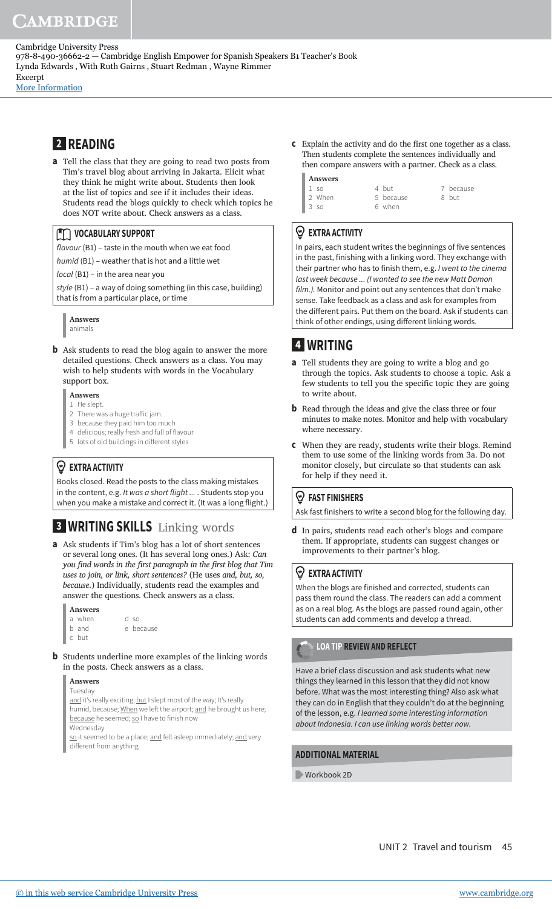[More Information](www.cambridge.org/9788490366622)

# **2 READING**

**a** Tell the class that they are going to read two posts from Tim's travel blog about arriving in Jakarta. Elicit what they think he might write about. Students then look at the list of topics and see if it includes their ideas. Students read the blogs quickly to check which topics he does NOT write about. Check answers as a class.

#### **MOCABULARY SUPPORT**

flavour (B1) – taste in the mouth when we eat food

humid (B1) – weather that is hot and a little wet

local (B1) – in the area near you

style (B1) – a way of doing something (in this case, building) that is from a particular place, or time

#### **Answers**

animals

**b** Ask students to read the blog again to answer the more detailed questions. Check answers as a class. You may wish to help students with words in the Vocabulary support box.

#### **Answers**

- 1 He slept.
- 2 There was a huge trafic jam.
- 3 because they paid him too much
- 4 delicious; really fresh and full of flavour 5 lots of old buildings in diferent styles

#### **EXTRA ACTIVITY**

Books closed. Read the posts to the class making mistakes in the content, e.g. It was a short flight ... . Students stop you when you make a mistake and correct it. (It was a long flight.)

# **3 WRITING SKILLS** Linking words

so e because

**a** Ask students if Tim's blog has a lot of short sentences or several long ones. (It has several long ones.) Ask: *Can you ind words in the irst paragraph in the irst blog that Tim uses to join, or link, short sentences?* (He uses *and, but, so, because*.) Individually, students read the examples and answer the questions. Check answers as a class.

| Answers |        |  |            |  |  |
|---------|--------|--|------------|--|--|
|         | a when |  | d          |  |  |
|         | b and  |  | $\epsilon$ |  |  |
|         | c but  |  |            |  |  |

**b** Students underline more examples of the linking words in the posts. Check answers as a class.

#### **Answers** Tuesday

and it's really exciting; but I slept most of the way; It's really humid, because; When we left the airport; and he brought us here; because he seemed; so I have to finish now

Wednesday

so it seemed to be a place; and fell asleep immediately; and very diferent from anything

**c** Explain the activity and do the irst one together as a class. Then students complete the sentences individually and then compare answers with a partner. Check as a class.

| <b>Answers</b> |        |  |           |  |           |  |  |  |  |
|----------------|--------|--|-----------|--|-----------|--|--|--|--|
|                | $1$ so |  | 4 but     |  | 7 because |  |  |  |  |
|                | 2 When |  | 5 because |  | 8 but     |  |  |  |  |
|                | 3 so   |  | 6 when    |  |           |  |  |  |  |

#### **EXTRA ACTIVITY**

In pairs, each student writes the beginnings of five sentences in the past, finishing with a linking word. They exchange with their partner who has to finish them, e.g. I went to the cinema last week because ... (I wanted to see the new Matt Damon film.). Monitor and point out any sentences that don't make sense. Take feedback as a class and ask for examples from the diferent pairs. Put them on the board. Ask if students can think of other endings, using diferent linking words.

# **4 WRITING**

- **a** Tell students they are going to write a blog and go through the topics. Ask students to choose a topic. Ask a few students to tell you the specific topic they are going to write about.
- **b** Read through the ideas and give the class three or four minutes to make notes. Monitor and help with vocabulary where necessary.
- **c** When they are ready, students write their blogs. Remind them to use some of the linking words from 3a. Do not monitor closely, but circulate so that students can ask for help if they need it.

#### **FAST FINISHERS**

Ask fast finishers to write a second blog for the following day.

**d** In pairs, students read each other's blogs and compare them. If appropriate, students can suggest changes or improvements to their partner's blog.

#### **EXTRA ACTIVITY**

When the blogs are finished and corrected, students can pass them round the class. The readers can add a comment as on a real blog. As the blogs are passed round again, other students can add comments and develop a thread.

#### **LOA TIP REVIEW AND REFLECT**

Have a brief class discussion and ask students what new things they learned in this lesson that they did not know before. What was the most interesting thing? Also ask what they can do in English that they couldn't do at the beginning of the lesson, e.g. I learned some interesting information about Indonesia. I can use linking words better now.

#### **ADDITIONAL MATERIAL**

Workbook 2D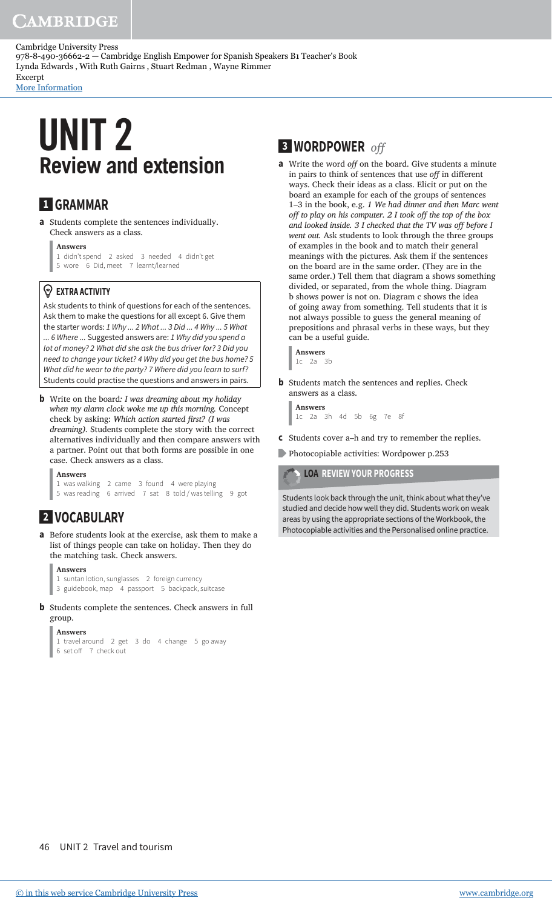[More Information](www.cambridge.org/9788490366622)

# **Review and extension** UNIT 2

# **1 GRAMMAR**

**a** Students complete the sentences individually. Check answers as a class.

**Answers**

1 didn't spend 2 asked 3 needed 4 didn't get 5 wore 6 Did, meet 7 learnt/learned

#### **EXTRA ACTIVITY**

Ask students to think of questions for each of the sentences. Ask them to make the questions for all except 6. Give them the starter words: 1 Why ... 2 What ... 3 Did ... 4 Why ... 5 What ... 6 Where ... Suggested answers are: 1 Why did you spend a lot of money? 2 What did she ask the bus driver for? 3 Did you need to change your ticket? 4 Why did you get the bus home? 5 What did he wear to the party? 7 Where did you learn to surf? Students could practise the questions and answers in pairs.

**b** Write on the board*: I was dreaming about my holiday when my alarm clock woke me up this morning.* Concept check by asking: *Which action started irst? (I was dreaming).* Students complete the story with the correct alternatives individually and then compare answers with a partner. Point out that both forms are possible in one case. Check answers as a class.

**Answers** 1 was walking 2 came 3 found 4 were playing 5 was reading 6 arrived 7 sat 8 told / was telling 9 got

# **2 VOCABULARY**

**a** Before students look at the exercise, ask them to make a list of things people can take on holiday. Then they do the matching task. Check answers.

```
Answers
```
1 suntan lotion, sunglasses 2 foreign currency 3 guidebook, map 4 passport 5 backpack, suitcase

**b** Students complete the sentences. Check answers in full group.

```
Answers
1 travel around 2 get 3 do 4 change 5 go away 
6 set off 7 check out
```
# **3 WORDPOWER** *of*

**a** Write the word *of* on the board. Give students a minute in pairs to think of sentences that use *off* in different ways. Check their ideas as a class. Elicit or put on the board an example for each of the groups of sentences 1–3 in the book, e.g. *1 We had dinner and then Marc went off to play on his computer. 2 I took off the top of the box* and looked inside. 3 I checked that the TV was off before I *went out.* Ask students to look through the three groups of examples in the book and to match their general meanings with the pictures. Ask them if the sentences on the board are in the same order. (They are in the same order.) Tell them that diagram a shows something divided, or separated, from the whole thing. Diagram b shows power is not on. Diagram c shows the idea of going away from something. Tell students that it is not always possible to guess the general meaning of prepositions and phrasal verbs in these ways, but they can be a useful guide.

**Answers** 1c 2a 3b

**b** Students match the sentences and replies. Check answers as a class.

**Answers** 1c 2a 3h 4d 5b 6g 7e 8f

- **c** Students cover a–h and try to remember the replies.
- Photocopiable activities: Wordpower p.253

**LOA REVIEW YOUR PROGRESS**

Students look back through the unit, think about what they've studied and decide how well they did. Students work on weak areas by using the appropriate sections of the Workbook, the Photocopiable activities and the Personalised online practice.